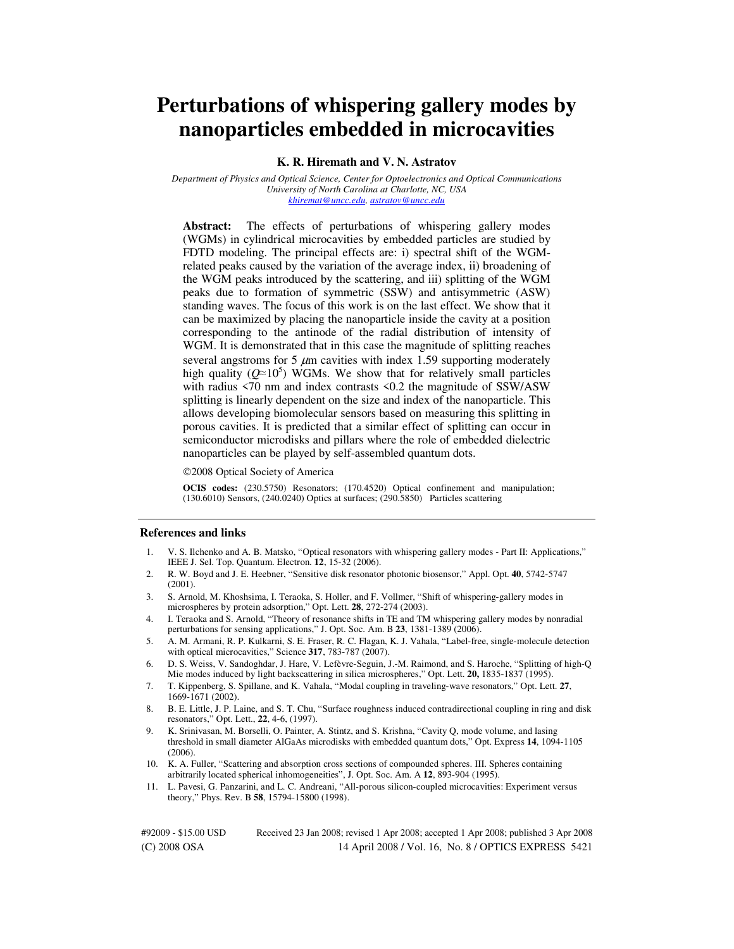# **Perturbations of whispering gallery modes by nanoparticles embedded in microcavities**

# **K. R. Hiremath and V. N. Astratov**

*Department of Physics and Optical Science, Center for Optoelectronics and Optical Communications University of North Carolina at Charlotte, NC, USA khiremat@uncc.edu, astratov@uncc.edu*

Abstract: The effects of perturbations of whispering gallery modes (WGMs) in cylindrical microcavities by embedded particles are studied by FDTD modeling. The principal effects are: i) spectral shift of the WGMrelated peaks caused by the variation of the average index, ii) broadening of the WGM peaks introduced by the scattering, and iii) splitting of the WGM peaks due to formation of symmetric (SSW) and antisymmetric (ASW) standing waves. The focus of this work is on the last effect. We show that it can be maximized by placing the nanoparticle inside the cavity at a position corresponding to the antinode of the radial distribution of intensity of WGM. It is demonstrated that in this case the magnitude of splitting reaches several angstroms for 5  $\mu$ m cavities with index 1.59 supporting moderately high quality ( $Q \approx 10^5$ ) WGMs. We show that for relatively small particles with radius  $\le 70$  nm and index contrasts  $\le 0.2$  the magnitude of SSW/ASW with radius <70 nm and index contrasts <0.2 the magnitude of SSW/ASW splitting is linearly dependent on the size and index of the nanoparticle. This allows developing biomolecular sensors based on measuring this splitting in porous cavities. It is predicted that a similar effect of splitting can occur in semiconductor microdisks and pillars where the role of embedded dielectric nanoparticles can be played by self-assembled quantum dots.

©2008 Optical Society of America

**OCIS codes:** (230.5750) Resonators; (170.4520) Optical confinement and manipulation; (130.6010) Sensors, (240.0240) Optics at surfaces; (290.5850) Particles scattering

#### **References and links**

- 1. V. S. Ilchenko and A. B. Matsko, "Optical resonators with whispering gallery modes Part II: Applications," IEEE J. Sel. Top. Quantum. Electron. **12**, 15-32 (2006).
- 2. R. W. Boyd and J. E. Heebner, "Sensitive disk resonator photonic biosensor," Appl. Opt. **40**, 5742-5747 (2001).
- 3. S. Arnold, M. Khoshsima, I. Teraoka, S. Holler, and F. Vollmer, "Shift of whispering-gallery modes in microspheres by protein adsorption," Opt. Lett. **28**, 272-274 (2003).
- 4. I. Teraoka and S. Arnold, "Theory of resonance shifts in TE and TM whispering gallery modes by nonradial perturbations for sensing applications," J. Opt. Soc. Am. B **23**, 1381-1389 (2006).
- 5. A. M. Armani, R. P. Kulkarni, S. E. Fraser, R. C. Flagan, K. J. Vahala, "Label-free, single-molecule detection with optical microcavities," Science **317**, 783-787 (2007).
- 6. D. S. Weiss, V. Sandoghdar, J. Hare, V. Lefèvre-Seguin, J.-M. Raimond, and S. Haroche, "Splitting of high-Q Mie modes induced by light backscattering in silica microspheres," Opt. Lett. **20,** 1835-1837 (1995).
- 7. T. Kippenberg, S. Spillane, and K. Vahala, "Modal coupling in traveling-wave resonators," Opt. Lett. **27**, 1669-1671 (2002).
- 8. B. E. Little, J. P. Laine, and S. T. Chu, "Surface roughness induced contradirectional coupling in ring and disk resonators," Opt. Lett., **22**, 4-6, (1997).
- 9. K. Srinivasan, M. Borselli, O. Painter, A. Stintz, and S. Krishna, "Cavity Q, mode volume, and lasing threshold in small diameter AlGaAs microdisks with embedded quantum dots," Opt. Express **14**, 1094-1105 (2006).
- 10. K. A. Fuller, "Scattering and absorption cross sections of compounded spheres. III. Spheres containing arbitrarily located spherical inhomogeneities", J. Opt. Soc. Am. A **12**, 893-904 (1995).
- 11. L. Pavesi, G. Panzarini, and L. C. Andreani, "All-porous silicon-coupled microcavities: Experiment versus theory," Phys. Rev. B **58**, 15794-15800 (1998).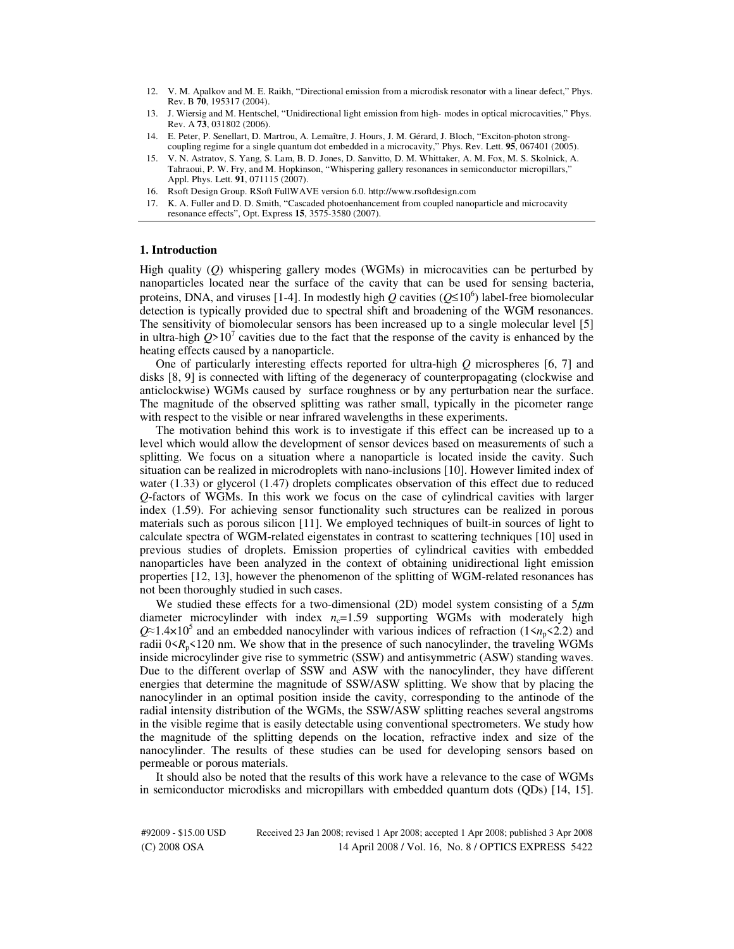- 12. V. M. Apalkov and M. E. Raikh, "Directional emission from a microdisk resonator with a linear defect," Phys. Rev. B **70**, 195317 (2004).
- 13. J. Wiersig and M. Hentschel, "Unidirectional light emission from high- modes in optical microcavities," Phys. Rev. A **73**, 031802 (2006).
- 14. E. Peter, P. Senellart, D. Martrou, A. Lemaître, J. Hours, J. M. Gérard, J. Bloch, "Exciton-photon strongcoupling regime for a single quantum dot embedded in a microcavity," Phys. Rev. Lett. **95**, 067401 (2005).
- 15. V. N. Astratov, S. Yang, S. Lam, B. D. Jones, D. Sanvitto, D. M. Whittaker, A. M. Fox, M. S. Skolnick, A. Tahraoui, P. W. Fry, and M. Hopkinson, "Whispering gallery resonances in semiconductor micropillars," Appl. Phys. Lett. **91**, 071115 (2007).
- 16. Rsoft Design Group. RSoft FullWAVE version 6.0. http://www.rsoftdesign.com
- 17. K. A. Fuller and D. D. Smith, "Cascaded photoenhancement from coupled nanoparticle and microcavity resonance effects", Opt. Express **15**, 3575-3580 (2007).

### **1. Introduction**

High quality (*Q*) whispering gallery modes (WGMs) in microcavities can be perturbed by nanoparticles located near the surface of the cavity that can be used for sensing bacteria, proteins, DNA, and viruses [1-4]. In modestly high  $Q$  cavities  $(Q \le 10^6)$  label-free biomolecular detection is typically provided due to spectral shift and broadening of the WGM resonances. The sensitivity of biomolecular sensors has been increased up to a single molecular level [5] in ultra-high  $Q > 10^7$  cavities due to the fact that the response of the cavity is enhanced by the heating effects caused by a nanoparticle.

One of particularly interesting effects reported for ultra-high *Q* microspheres [6, 7] and disks [8, 9] is connected with lifting of the degeneracy of counterpropagating (clockwise and anticlockwise) WGMs caused by surface roughness or by any perturbation near the surface. The magnitude of the observed splitting was rather small, typically in the picometer range with respect to the visible or near infrared wavelengths in these experiments.

The motivation behind this work is to investigate if this effect can be increased up to a level which would allow the development of sensor devices based on measurements of such a splitting. We focus on a situation where a nanoparticle is located inside the cavity. Such situation can be realized in microdroplets with nano-inclusions [10]. However limited index of water (1.33) or glycerol (1.47) droplets complicates observation of this effect due to reduced *Q*-factors of WGMs. In this work we focus on the case of cylindrical cavities with larger index (1.59). For achieving sensor functionality such structures can be realized in porous materials such as porous silicon [11]. We employed techniques of built-in sources of light to calculate spectra of WGM-related eigenstates in contrast to scattering techniques [10] used in previous studies of droplets. Emission properties of cylindrical cavities with embedded nanoparticles have been analyzed in the context of obtaining unidirectional light emission properties [12, 13], however the phenomenon of the splitting of WGM-related resonances has not been thoroughly studied in such cases.

We studied these effects for a two-dimensional (2D) model system consisting of a  $5\mu$ m diameter microcylinder with index  $n_c=1.59$  supporting WGMs with moderately high  $Q \approx 1.4 \times 10^5$  and an embedded nanocylinder with various indices of refraction (1<*n*<sub>p</sub><2.2) and radii 0<*R*<sub>p</sub><120 nm. We show that in the presence of such nanocylinder, the traveling WGMs radii  $0 \le R_p \le 120$  nm. We show that in the presence of such nanocylinder, the traveling WGMs inside microcylinder give rise to symmetric (SSW) and antisymmetric (ASW) standing waves. Due to the different overlap of SSW and ASW with the nanocylinder, they have different energies that determine the magnitude of SSW/ASW splitting. We show that by placing the nanocylinder in an optimal position inside the cavity, corresponding to the antinode of the radial intensity distribution of the WGMs, the SSW/ASW splitting reaches several angstroms in the visible regime that is easily detectable using conventional spectrometers. We study how the magnitude of the splitting depends on the location, refractive index and size of the nanocylinder. The results of these studies can be used for developing sensors based on permeable or porous materials.

It should also be noted that the results of this work have a relevance to the case of WGMs in semiconductor microdisks and micropillars with embedded quantum dots (QDs) [14, 15].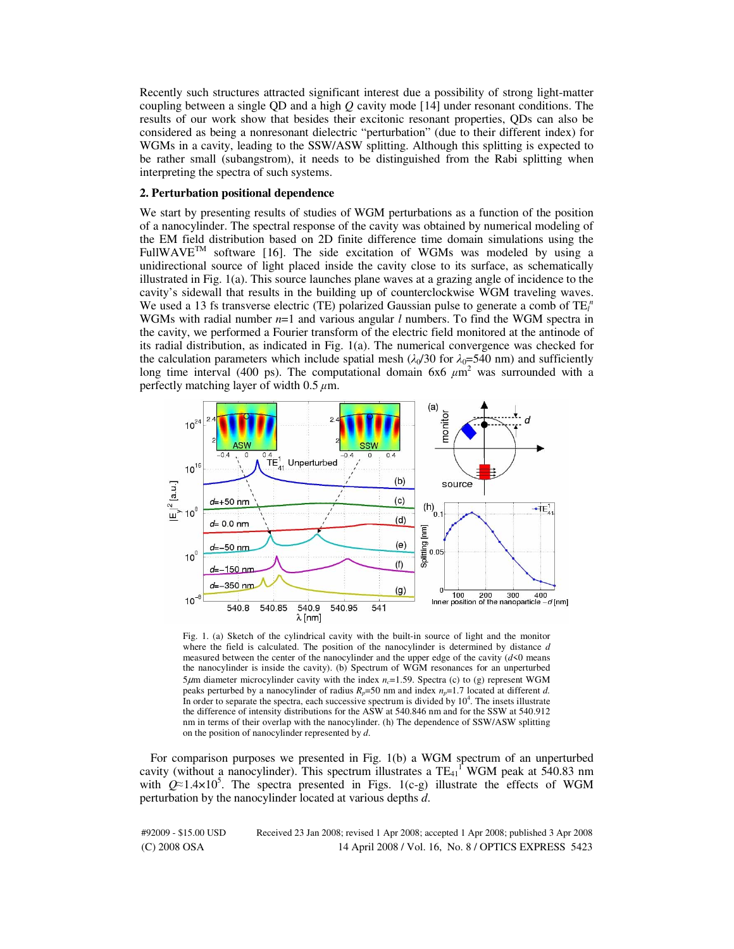Recently such structures attracted significant interest due a possibility of strong light-matter coupling between a single QD and a high *Q* cavity mode [14] under resonant conditions. The results of our work show that besides their excitonic resonant properties, QDs can also be considered as being a nonresonant dielectric "perturbation" (due to their different index) for WGMs in a cavity, leading to the SSW/ASW splitting. Although this splitting is expected to be rather small (subangstrom), it needs to be distinguished from the Rabi splitting when interpreting the spectra of such systems.

#### **2. Perturbation positional dependence**

We start by presenting results of studies of WGM perturbations as a function of the position of a nanocylinder. The spectral response of the cavity was obtained by numerical modeling of the EM field distribution based on 2D finite difference time domain simulations using the FullWAVE<sup>TM</sup> software [16]. The side excitation of WGMs was modeled by using a unidirectional source of light placed inside the cavity close to its surface, as schematically illustrated in Fig. 1(a). This source launches plane waves at a grazing angle of incidence to the cavity's sidewall that results in the building up of counterclockwise WGM traveling waves. We used a 13 fs transverse electric (TE) polarized Gaussian pulse to generate a comb of TE*<sup>l</sup> n* WGMs with radial number *n*=1 and various angular *l* numbers. To find the WGM spectra in the cavity, we performed a Fourier transform of the electric field monitored at the antinode of its radial distribution, as indicated in Fig. 1(a). The numerical convergence was checked for the calculation parameters which include spatial mesh ( $\lambda_0/30$  for  $\lambda_0=540$  nm) and sufficiently long time interval (400 ps). The computational domain 6x6  $\mu$ m<sup>2</sup> was surrounded with a perfectly matching layer of width  $0.5 \mu m$ .



Fig. 1. (a) Sketch of the cylindrical cavity with the built-in source of light and the monitor where the field is calculated. The position of the nanocylinder is determined by distance *d* measured between the center of the nanocylinder and the upper edge of the cavity  $(d \le 0$  means the nanocylinder is inside the cavity). (b) Spectrum of WGM resonances for an unperturbed 5 $\mu$ m diameter microcylinder cavity with the index  $n_c$ =1.59. Spectra (c) to (g) represent WGM peaks perturbed by a nanocylinder of radius *Rp*=50 nm and index *np*=1.7 located at different *d.*  In order to separate the spectra, each successive spectrum is divided by  $10<sup>4</sup>$ . The insets illustrate the difference of intensity distributions for the ASW at 540.846 nm and for the SSW at 540.912 nm in terms of their overlap with the nanocylinder. (h) The dependence of SSW/ASW splitting on the position of nanocylinder represented by *d*.

For comparison purposes we presented in Fig. 1(b) a WGM spectrum of an unperturbed cavity (without a nanocylinder). This spectrum illustrates a  $TE_{41}$ <sup>r</sup> WGM peak at 540.83 nm with  $Q \approx 1.4 \times 10^5$ . The spectra presented in Figs. 1(c-g) illustrate the effects of WGM perturbation by the nanocylinder located at various depths *d*.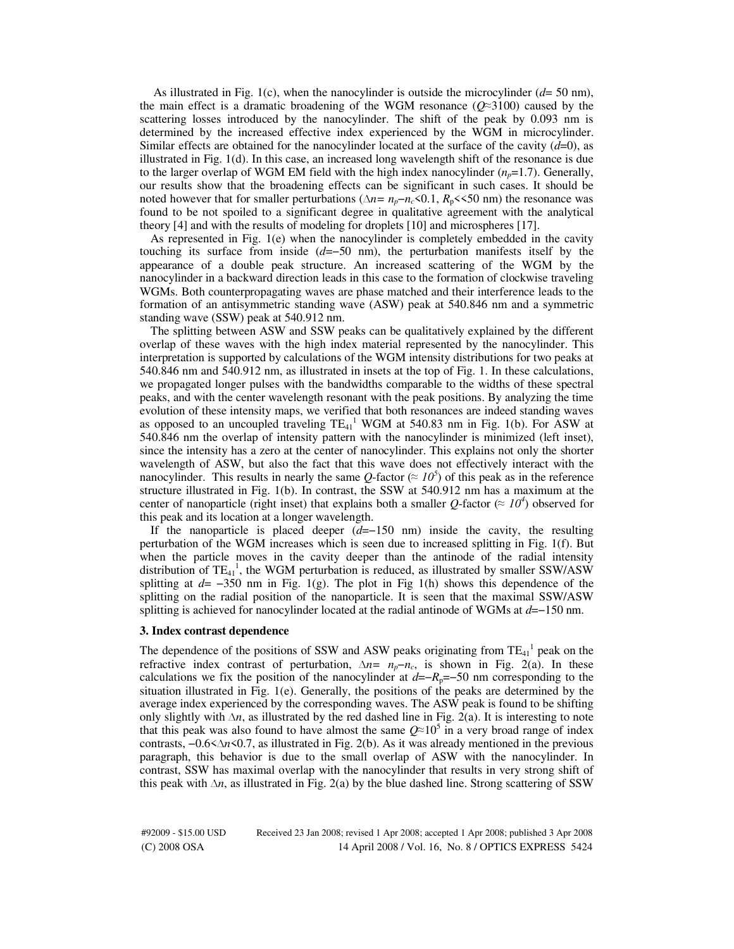As illustrated in Fig. 1(c), when the nanocylinder is outside the microcylinder  $(d=50 \text{ nm})$ , the main effect is a dramatic broadening of the WGM resonance  $(Q \approx 3100)$  caused by the the main effect is a dramatic broadening of the WGM resonance ( $Q \approx 3100$ ) caused by the scattering losses introduced by the nanocylinder. The shift of the peak by 0.093 nm is determined by the increased effective index experienced by the WGM in microcylinder. Similar effects are obtained for the nanocylinder located at the surface of the cavity  $(d=0)$ , as illustrated in Fig. 1(d). In this case, an increased long wavelength shift of the resonance is due to the larger overlap of WGM EM field with the high index nanocylinder  $(n_p=1.7)$ . Generally, our results show that the broadening effects can be significant in such cases. It should be noted however that for smaller perturbations (∆*n= np*−*nc*<0.1, *R*p<<50 nm) the resonance was found to be not spoiled to a significant degree in qualitative agreement with the analytical theory [4] and with the results of modeling for droplets [10] and microspheres [17].

As represented in Fig. 1(e) when the nanocylinder is completely embedded in the cavity touching its surface from inside (*d*=−50 nm), the perturbation manifests itself by the appearance of a double peak structure. An increased scattering of the WGM by the nanocylinder in a backward direction leads in this case to the formation of clockwise traveling WGMs. Both counterpropagating waves are phase matched and their interference leads to the formation of an antisymmetric standing wave (ASW) peak at 540.846 nm and a symmetric standing wave (SSW) peak at 540.912 nm.

The splitting between ASW and SSW peaks can be qualitatively explained by the different overlap of these waves with the high index material represented by the nanocylinder. This interpretation is supported by calculations of the WGM intensity distributions for two peaks at 540.846 nm and 540.912 nm, as illustrated in insets at the top of Fig. 1. In these calculations, we propagated longer pulses with the bandwidths comparable to the widths of these spectral peaks, and with the center wavelength resonant with the peak positions. By analyzing the time evolution of these intensity maps, we verified that both resonances are indeed standing waves as opposed to an uncoupled traveling  $TE_{41}^{-1}$  WGM at 540.83 nm in Fig. 1(b). For ASW at 540.846 nm the overlap of intensity pattern with the nanocylinder is minimized (left inset), since the intensity has a zero at the center of nanocylinder. This explains not only the shorter wavelength of ASW, but also the fact that this wave does not effectively interact with the nanocylinder. This results in nearly the same  $Q$ -factor ( $\approx 10^5$ ) of this peak as in the reference structure illustrated in Fig. 1(b). In contrast, the SSW at 540.912 nm has a maximum at the structure illustrated in Fig. 1(b). In contrast, the SSW at 540.912 nm has a maximum at the center of nanoparticle (right inset) that explains both a smaller  $Q$ -factor ( $\approx 10^4$ ) observed for this peak and its location at a longer wavelength. this peak and its location at a longer wavelength.

If the nanoparticle is placed deeper  $(d=-150 \text{ nm})$  inside the cavity, the resulting perturbation of the WGM increases which is seen due to increased splitting in Fig. 1(f). But when the particle moves in the cavity deeper than the antinode of the radial intensity distribution of  $TE_{41}^{-1}$ , the WGM perturbation is reduced, as illustrated by smaller SSW/ASW splitting at *d*= −350 nm in Fig. 1(g). The plot in Fig 1(h) shows this dependence of the splitting on the radial position of the nanoparticle. It is seen that the maximal SSW/ASW splitting is achieved for nanocylinder located at the radial antinode of WGMs at *d*=−150 nm.

#### **3. Index contrast dependence**

The dependence of the positions of SSW and ASW peaks originating from  $TE_{41}^{-1}$  peak on the refractive index contrast of perturbation,  $\Delta n = n_p - n_c$ , is shown in Fig. 2(a). In these coloulations we fix the position of the proposaling at  $\Delta E = 50$  pm corresponding to the calculations we fix the position of the nanocylinder at  $d=-R_p=-50$  nm corresponding to the situation illustrated in Fig. 1(e). Generally, the positions of the peaks are determined by the average index experienced by the corresponding waves. The ASW peak is found to be shifting only slightly with ∆*n*, as illustrated by the red dashed line in Fig. 2(a). It is interesting to note that this peak was also found to have almost the same  $Q \approx 10^5$  in a very broad range of index that this peak was also found to have almost the same  $Q \approx 10^5$  in a very broad range of index contrasts, -0.6 < $\Delta n$ <0.7, as illustrated in Fig. 2(b). As it was already mentioned in the previous parameter this behavior paragraph, this behavior is due to the small overlap of ASW with the nanocylinder. In contrast, SSW has maximal overlap with the nanocylinder that results in very strong shift of this peak with ∆*n*, as illustrated in Fig. 2(a) by the blue dashed line. Strong scattering of SSW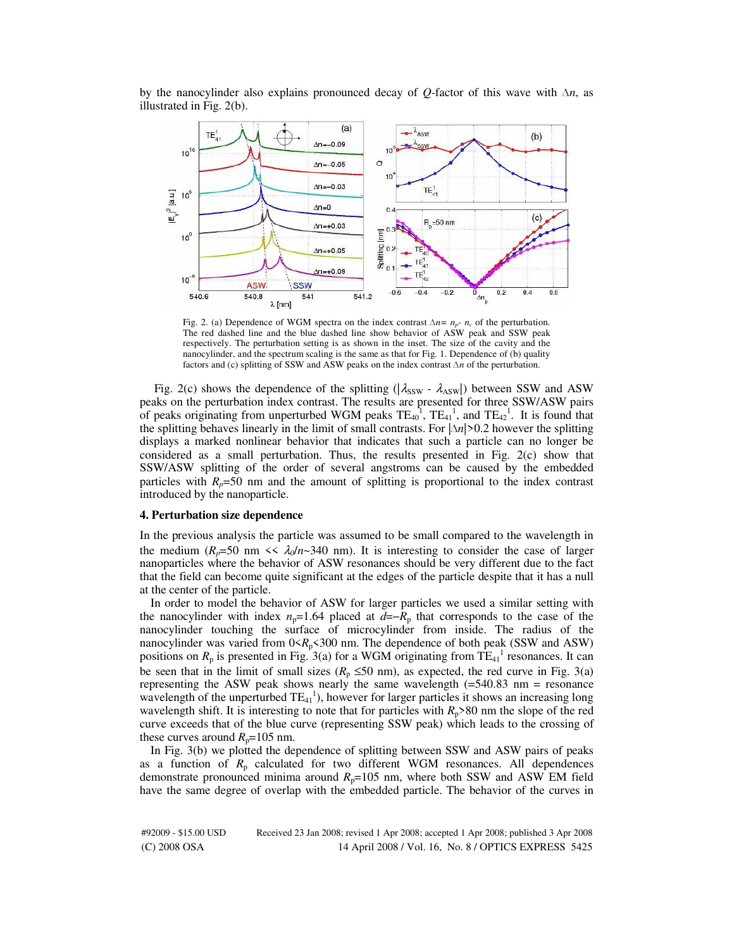

by the nanocylinder also explains pronounced decay of *Q*-factor of this wave with ∆*n*, as illustrated in Fig. 2(b).

Fig. 2. (a) Dependence of WGM spectra on the index contrast ∆*n= np- nc* of the perturbation. The red dashed line and the blue dashed line show behavior of ASW peak and SSW peak respectively. The perturbation setting is as shown in the inset. The size of the cavity and the nanocylinder, and the spectrum scaling is the same as that for Fig. 1. Dependence of (b) quality factors and (c) splitting of SSW and ASW peaks on the index contrast ∆*n* of the perturbation.

Fig. 2(c) shows the dependence of the splitting ( $|\lambda_{SSW} - \lambda_{ASW}|$ ) between SSW and ASW peaks on the perturbation index contrast. The results are presented for three SSW/ASW pairs of peaks originating from unperturbed WGM peaks  $TE_{40}^1$ ,  $TE_{41}^1$ , and  $TE_{42}^1$ . It is found that the splitting behaves linearly in the limit of small contrasts. For |∆*n|*>0.2 however the splitting displays a marked nonlinear behavior that indicates that such a particle can no longer be considered as a small perturbation. Thus, the results presented in Fig. 2(c) show that SSW/ASW splitting of the order of several angstroms can be caused by the embedded particles with  $R_p=50$  nm and the amount of splitting is proportional to the index contrast introduced by the nanoparticle.

# **4. Perturbation size dependence**

In the previous analysis the particle was assumed to be small compared to the wavelength in the medium ( $R_p$ =50 nm <<  $\lambda_0/n \sim 340$  nm). It is interesting to consider the case of larger nanoparticles where the behavior of ASW resonances should be very different due to the fact that the field can become quite significant at the edges of the particle despite that it has a null at the center of the particle.

In order to model the behavior of ASW for larger particles we used a similar setting with the nanocylinder with index  $n_p=1.64$  placed at  $d=-R_p$  that corresponds to the case of the nanocylinder touching the surface of microcylinder from inside. The radius of the nanocylinder was varied from  $0 \le R_p \le 300$  nm. The dependence of both peak (SSW and ASW) positions on  $R_p$  is presented in Fig. 3(a) for a WGM originating from  $TE_{41}^1$  resonances. It can be seen that in the limit of small sizes ( $R_p \le 50$  nm), as expected, the red curve in Fig. 3(a) representing the ASW peak shows nearly the same wavelength  $(=540.83 \text{ nm} = \text{resonance})$ wavelength of the unperturbed  $TE_{41}^{-1}$ ), however for larger particles it shows an increasing long wavelength shift. It is interesting to note that for particles with  $R_p > 80$  nm the slope of the red curve exceeds that of the blue curve (representing SSW peak) which leads to the crossing of these curves around  $R_p$ =105 nm.

In Fig. 3(b) we plotted the dependence of splitting between SSW and ASW pairs of peaks as a function of  $R_p$  calculated for two different WGM resonances. All dependences demonstrate pronounced minima around  $R_p=105$  nm, where both SSW and ASW EM field have the same degree of overlap with the embedded particle. The behavior of the curves in